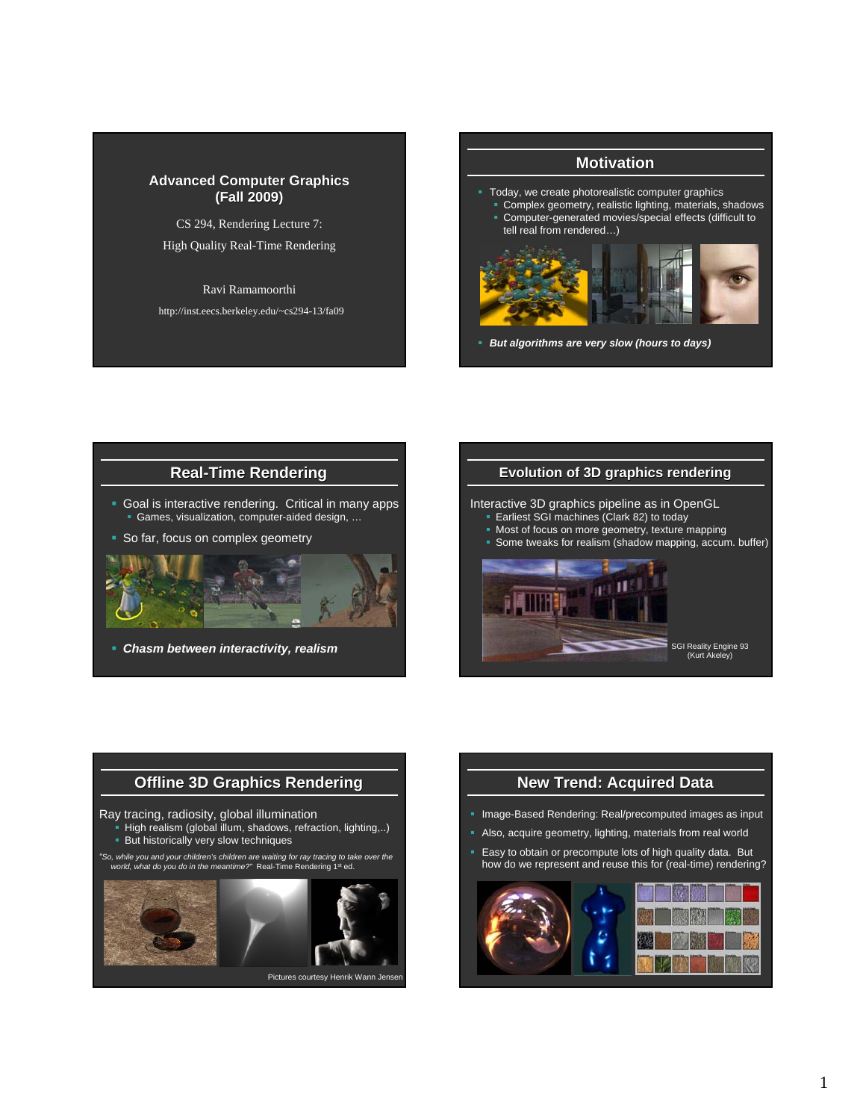#### **Advanced Computer Graphics (Fall 2009) (Fall 2009)**

CS 294, Rendering Lecture 7:

#### High Quality Real-Time Rendering

Ravi Ramamoorthi

http://inst.eecs.berkeley.edu/~cs294-13/fa09

### **Motivation**

- Today, we create photorealistic computer graphics
- Complex geometry, realistic lighting, materials, shadows Computer-generated movies/special effects (difficult to
	- tell real from rendered…)



*But algorithms are very slow (hours to days)*

## **Real-Time Rendering**

 Goal is interactive rendering. Critical in many apps Games, visualization, computer-aided design, …

So far, focus on complex geometry



*Chasm between interactivity, realism*

#### **Evolution of 3D graphics rendering**

Interactive 3D graphics pipeline as in OpenGL

- Earliest SGI machines (Clark 82) to today
- Most of focus on more geometry, texture mapping
- Some tweaks for realism (shadow mapping, accum. buffer)





### **New Trend: Acquired Data**

- **Image-Based Rendering: Real/precomputed images as input**
- Also, acquire geometry, lighting, materials from real world
- **Easy to obtain or precompute lots of high quality data. But** how do we represent and reuse this for (real-time) rendering?

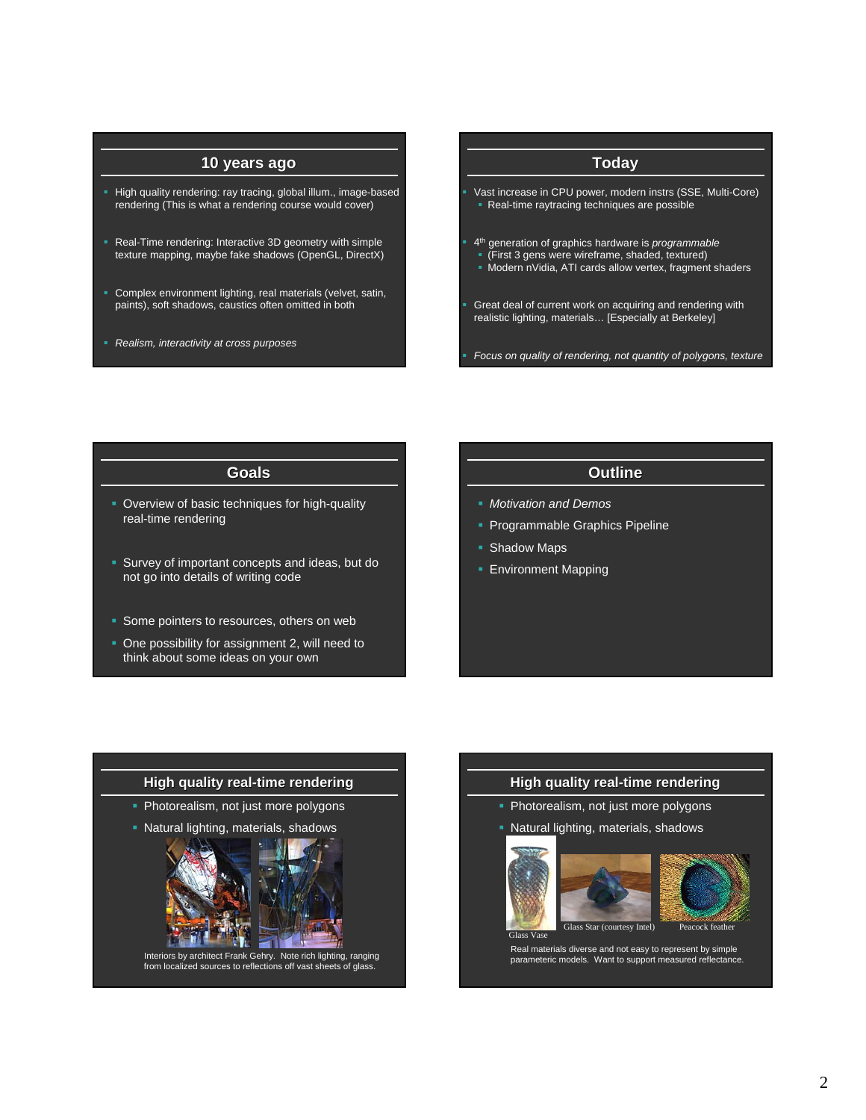### **10 years ago**

- High quality rendering: ray tracing, global illum., image-based rendering (This is what a rendering course would cover)
- Real-Time rendering: Interactive 3D geometry with simple texture mapping, maybe fake shadows (OpenGL, DirectX)
- Complex environment lighting, real materials (velvet, satin, paints), soft shadows, caustics often omitted in both
- *Realism, interactivity at cross purposes*

# **Today**

- Vast increase in CPU power, modern instrs (SSE, Multi-Core) Real-time raytracing techniques are possible
- 4th generation of graphics hardware is *programmable*
- (First 3 gens were wireframe, shaded, textured)
- Modern nVidia, ATI cards allow vertex, fragment shaders
- Great deal of current work on acquiring and rendering with realistic lighting, materials… [Especially at Berkeley]
- *Focus on quality of rendering, not quantity of polygons, texture*

#### **Goals**

- **Overview of basic techniques for high-quality** real-time rendering
- **Survey of important concepts and ideas, but do** not go into details of writing code
- Some pointers to resources, others on web
- One possibility for assignment 2, will need to think about some ideas on your own

## **Outline**

- *Motivation and Demos*
- **Programmable Graphics Pipeline**
- **Shadow Maps**
- **Environment Mapping**



Interiors by architect Frank Gehry. Note rich lighting, ranging from localized sources to reflections off vast sheets of glass.

#### **High quality real real-time rendering**

- Photorealism, not just more polygons
- **Natural lighting, materials, shadows**







Real materials diverse and not easy to represent by simple parameteric models. Want to support measured reflectance.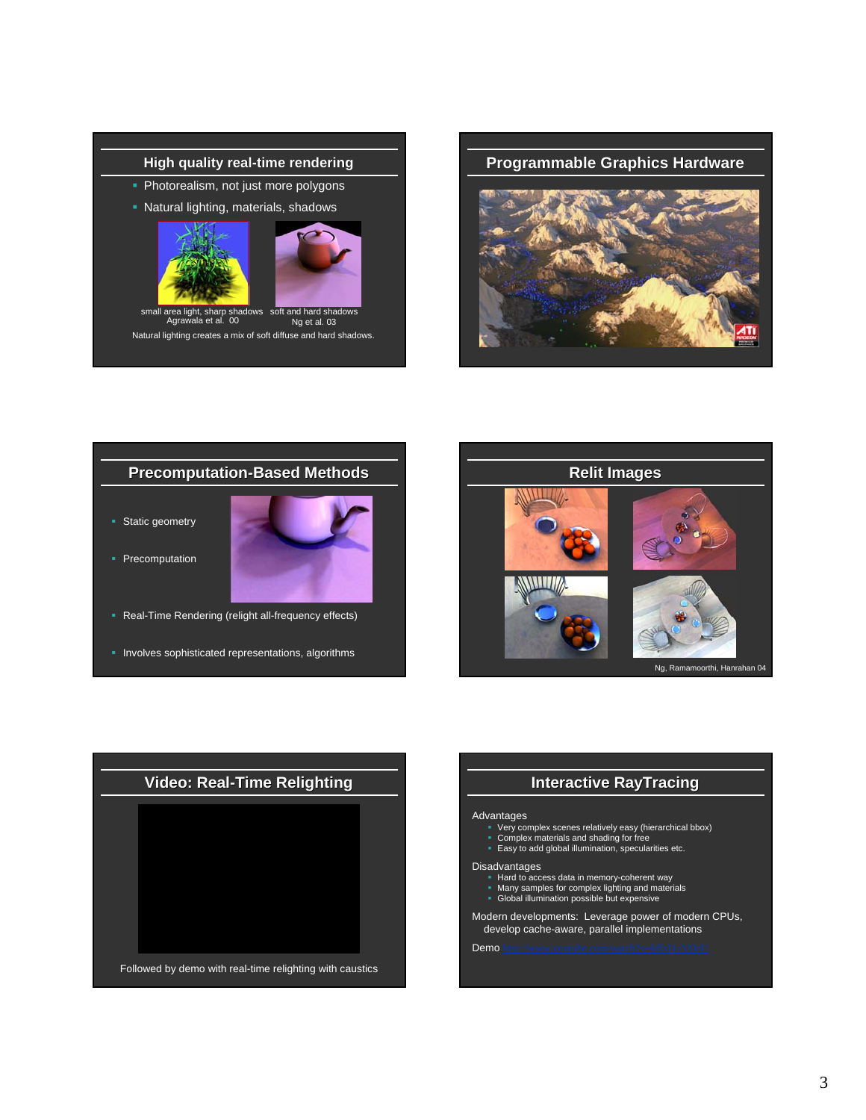



Natural lighting creates a mix of soft diffuse and hard shadows. arp sha<br>al. 00 dows soft and hard shadows Ng et al. 03

**Programmable Graphics Hardware**



## **Precomputation-Based Methods**

**Static geometry** 



- Precomputation
- **Real-Time Rendering (relight all-frequency effects)**
- **Involves sophisticated representations, algorithms**





## **Interactive RayTracing**

#### **Advantages**

- 
- Very complex scenes relatively easy (hierarchical bbox) Complex materials and shading for free Easy to add global illumination, specularities etc.
- 

#### Disadvantages

- Hard to access data in memory-coherent way Many samples for complex lighting and materials Global illumination possible but expensive
- 
- 

Modern developments: Leverage power of modern CPUs, develop cache-aware, parallel implementations

Demo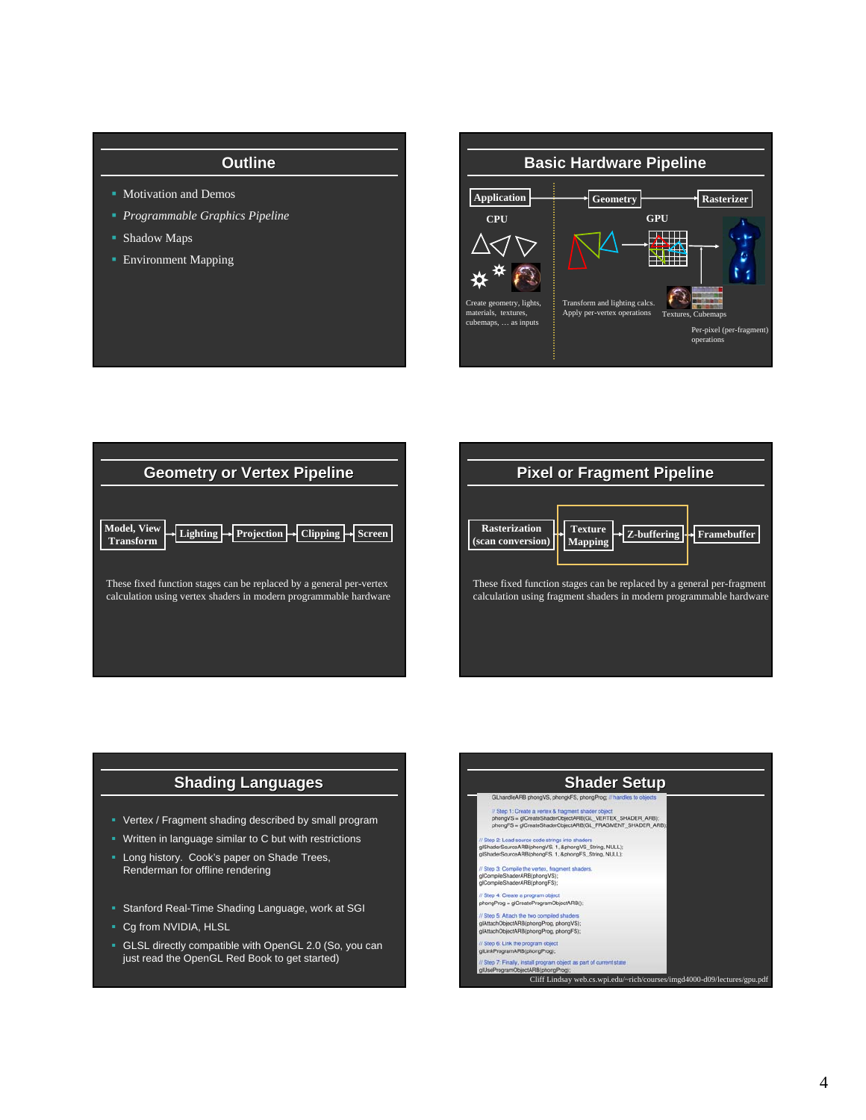### **Outline**

- **Motivation and Demos**
- *Programmable Graphics Pipeline*
- Shadow Maps
- **Environment Mapping**







### **Shading Languages**

- Vertex / Fragment shading described by small program
- Written in language similar to C but with restrictions
- **Long history.** Cook's paper on Shade Trees, Renderman for offline rendering
- Stanford Real-Time Shading Language, work at SGI
- Cg from NVIDIA, HLSL
- GLSL directly compatible with OpenGL 2.0 (So, you can just read the OpenGL Red Book to get started)

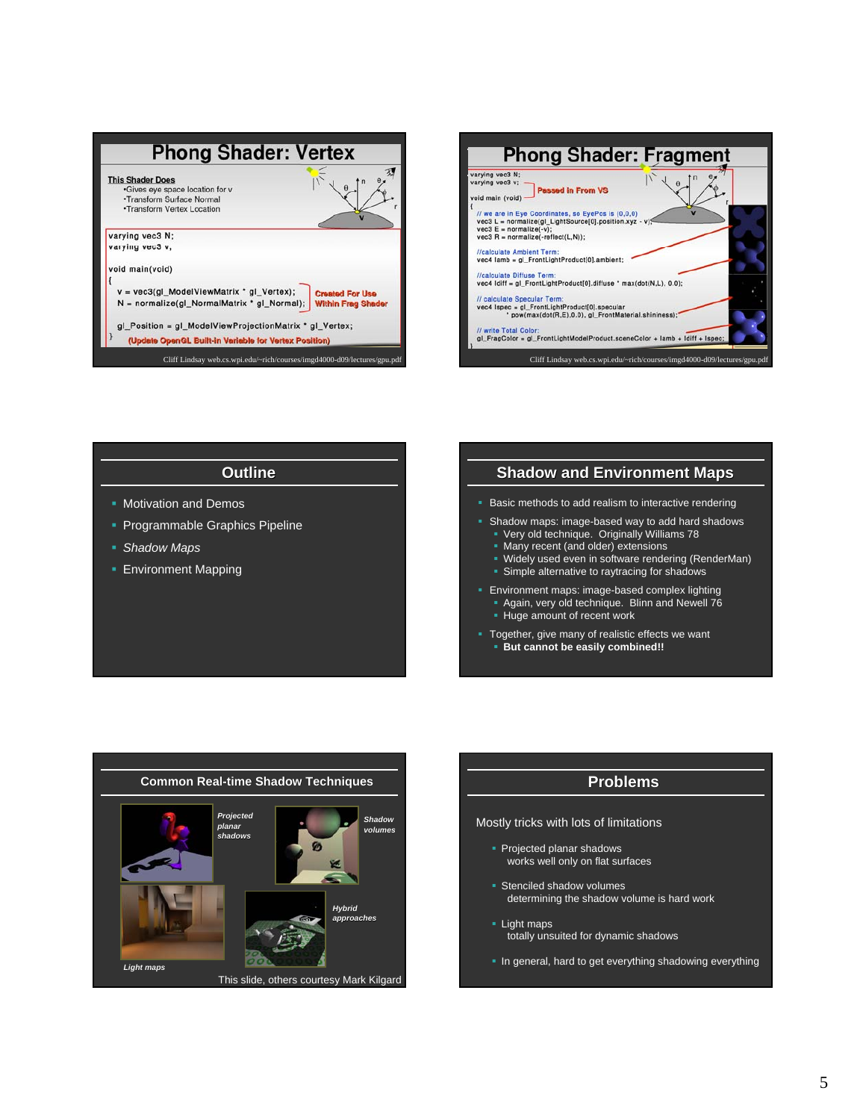



### **Outline**

- **Motivation and Demos**
- **Programmable Graphics Pipeline**
- *Shadow Maps*
- **Environment Mapping**

### **Shadow and Environment Maps**

- Basic methods to add realism to interactive rendering
- Shadow maps: image-based way to add hard shadows
	- Very old technique. Originally Williams 78
	- **Many recent (and older) extensions**
	- Widely used even in software rendering (RenderMan) **Simple alternative to raytracing for shadows**
- **Environment maps: image-based complex lighting**  Again, very old technique. Blinn and Newell 76 **Huge amount of recent work** 
	-
- **Together, give many of realistic effects we want But cannot be easily combined!!**



## **Problems**

Mostly tricks with lots of limitations

- Projected planar shadows works well only on flat surfaces
- **Stenciled shadow volumes** determining the shadow volume is hard work
- Light maps totally unsuited for dynamic shadows
- **In general, hard to get everything shadowing everything**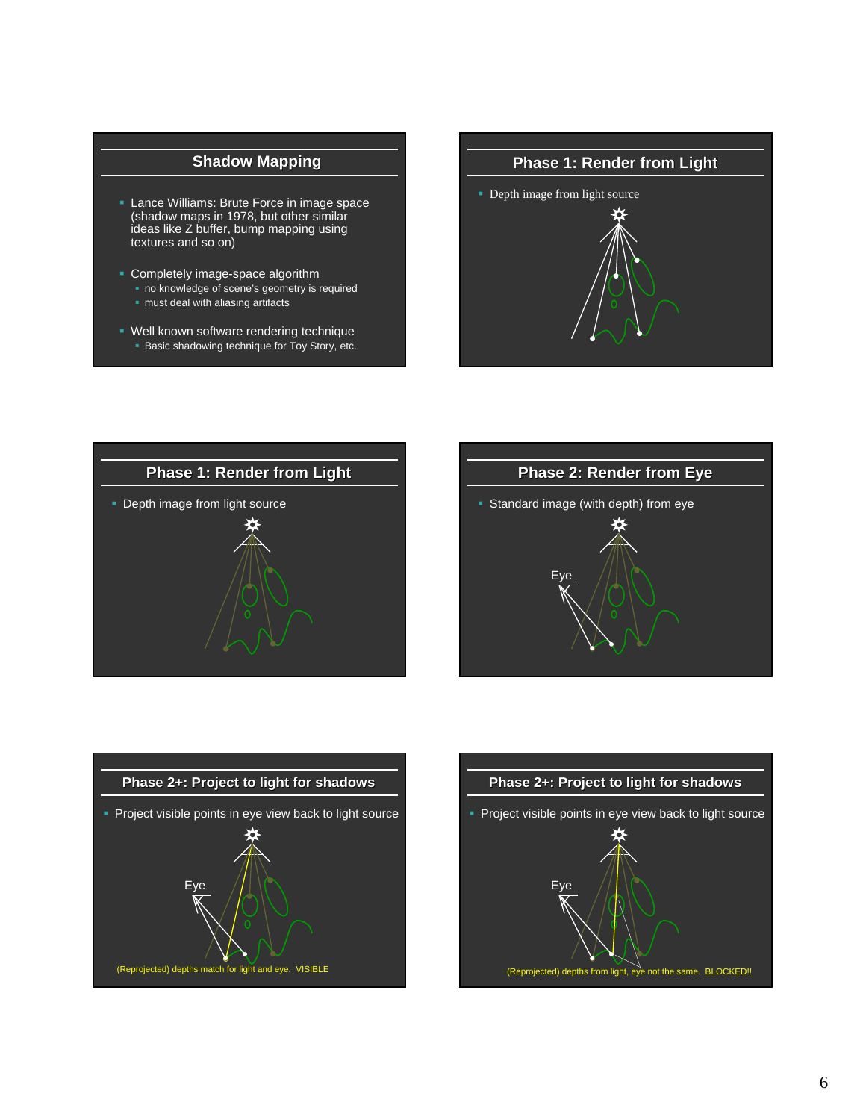# **Shadow Mapping**

- **Lance Williams: Brute Force in image space** (shadow maps in 1978, but other similar ideas like Z buffer, bump mapping using textures and so on)
- Completely image-space algorithm no knowledge of scene's geometry is required **n** must deal with aliasing artifacts
- Well known software rendering technique **Basic shadowing technique for Toy Story, etc.**









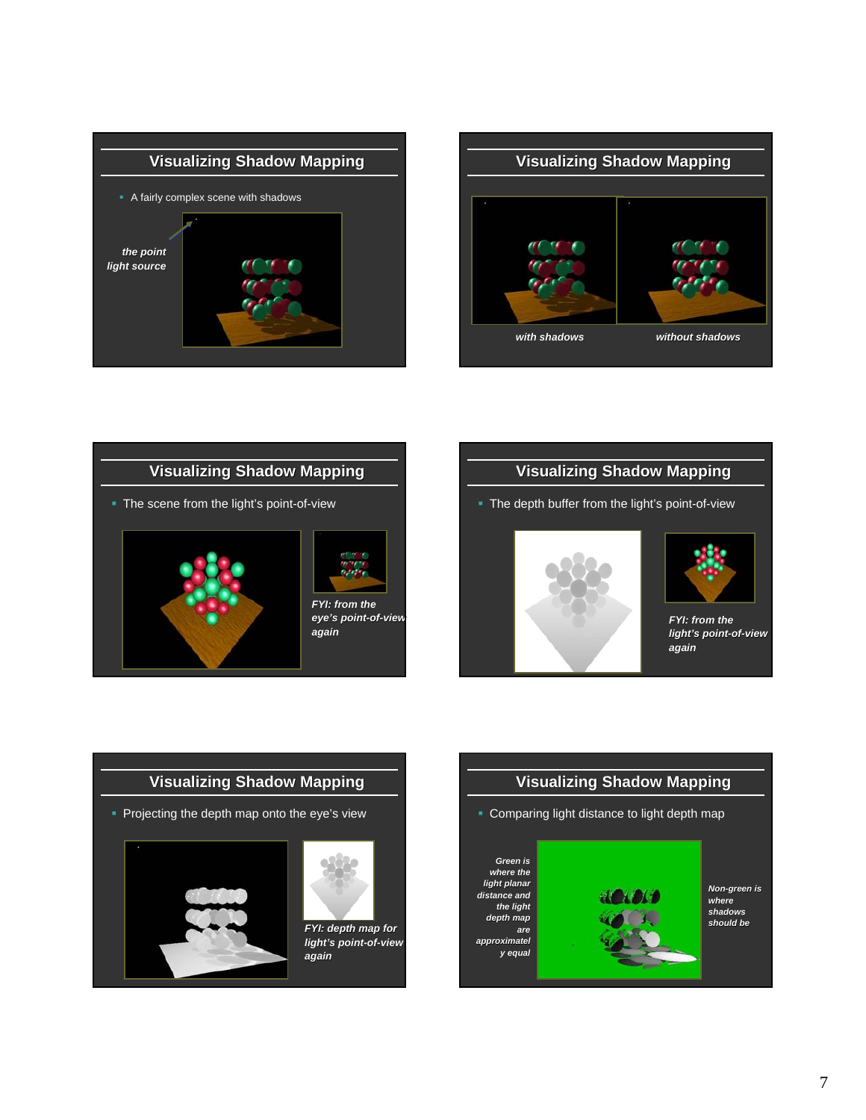









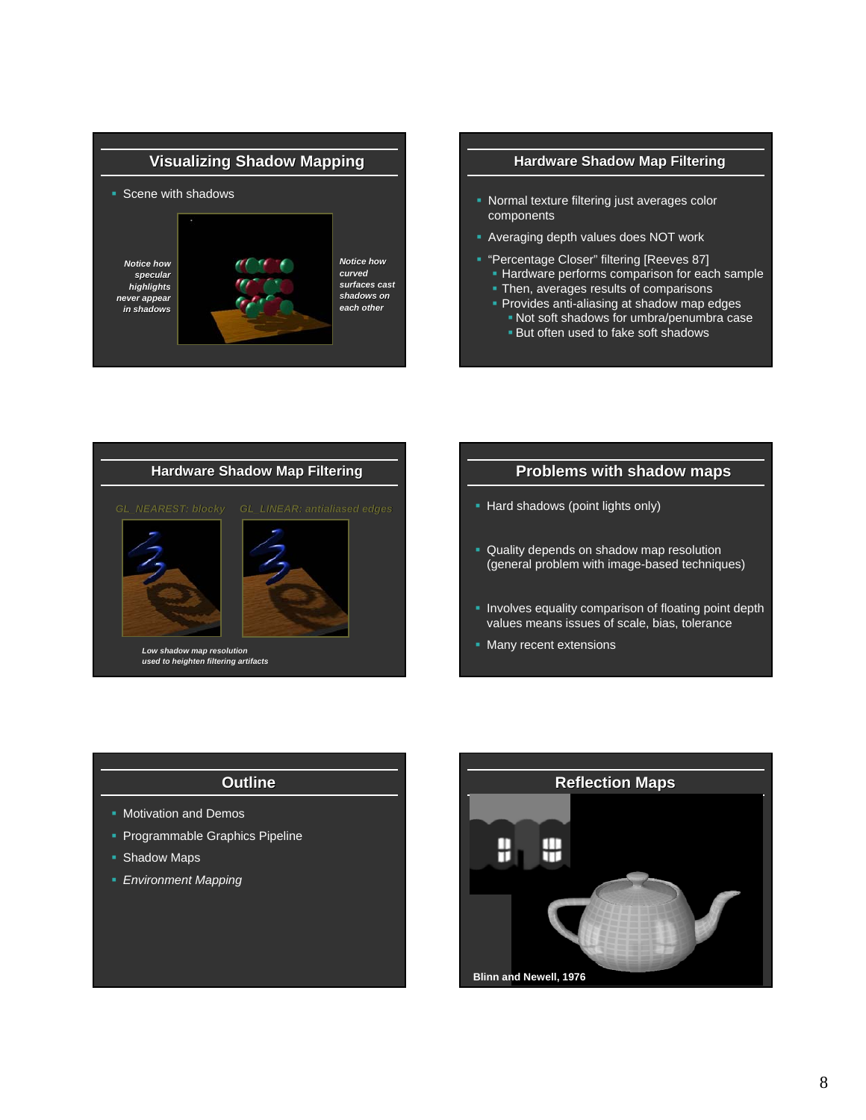

#### **Hardware Shadow Map Filtering**

- **Normal texture filtering just averages color** components
- Averaging depth values does NOT work
- **"Percentage Closer" filtering [Reeves 87]** 
	- Hardware performs comparison for each sample **Then, averages results of comparisons**
	- **Provides anti-aliasing at shadow map edges** 
		- Not soft shadows for umbra/penumbra case
		- **But often used to fake soft shadows**



#### **Problems with shadow maps**

- Hard shadows (point lights only)
- **Quality depends on shadow map resolution** (general problem with image-based techniques)
- **Involves equality comparison of floating point depth** values means issues of scale, bias, tolerance
- **Many recent extensions**

#### **Outline**

- **Motivation and Demos**
- **Programmable Graphics Pipeline**
- Shadow Maps
- *Environment Mapping*

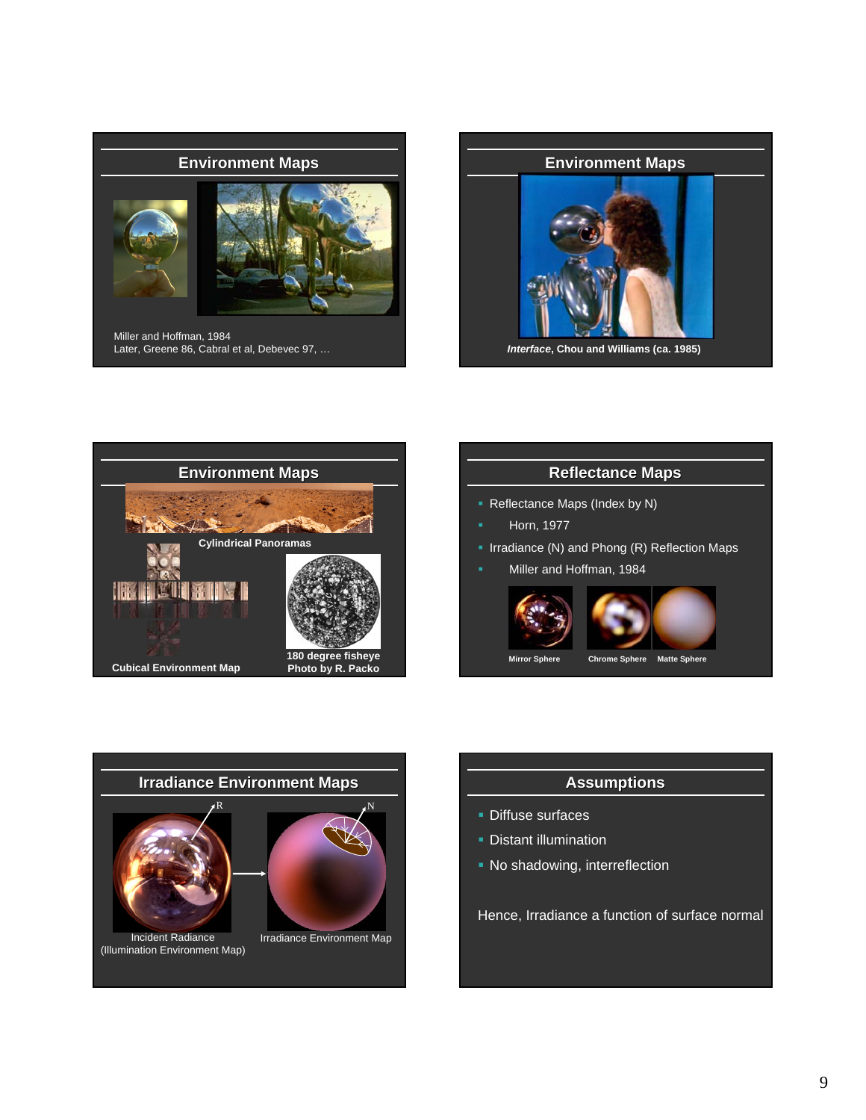

Miller and Hoffman, 1984 Later, Greene 86, Cabral et al, Debevec 97, …



*Interface***, Chou and Williams (ca. 1985)**







## **Assumptions**

- **Diffuse surfaces**
- **Distant illumination**
- **No shadowing, interreflection**

Hence, Irradiance a function of surface normal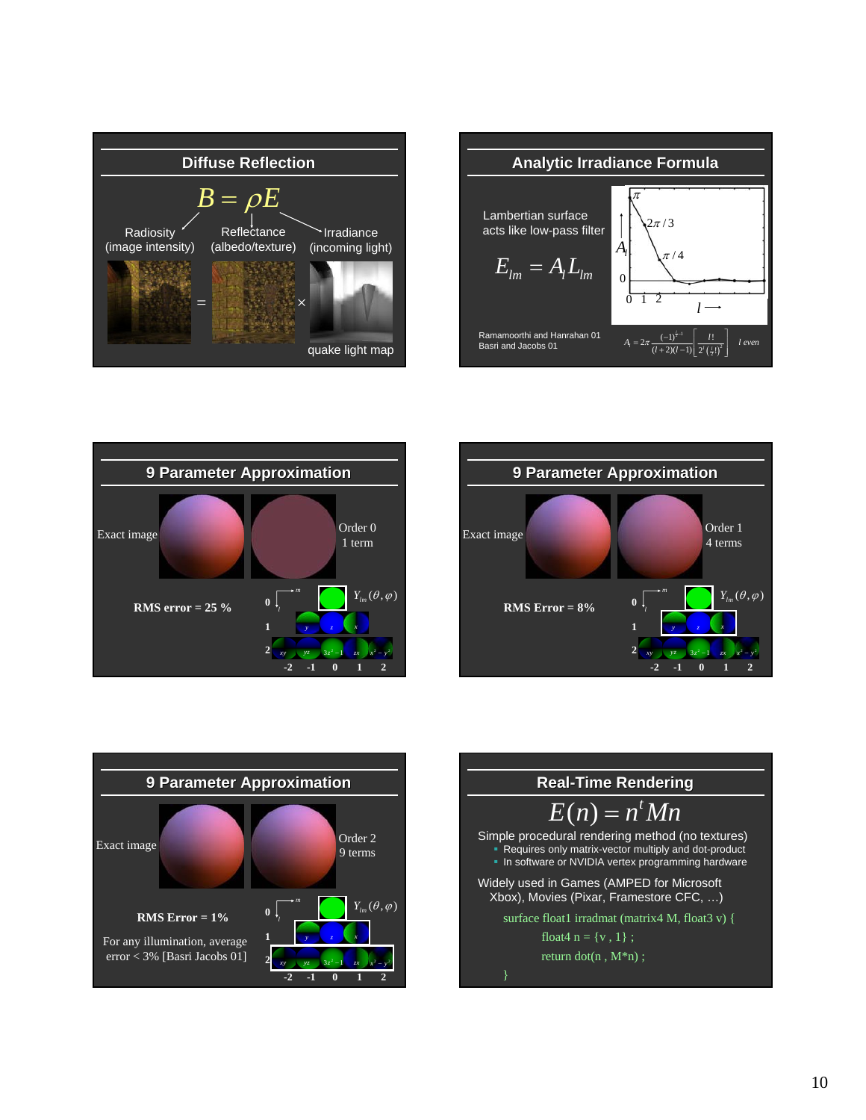